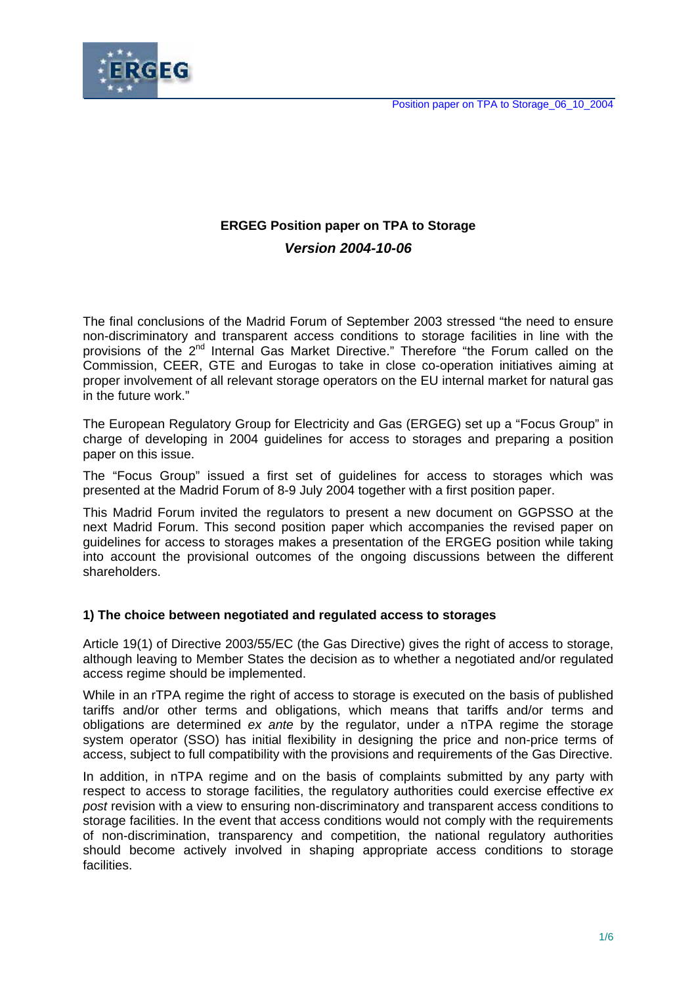

# **ERGEG Position paper on TPA to Storage**  *Version 2004-10-06*

The final conclusions of the Madrid Forum of September 2003 stressed "the need to ensure non-discriminatory and transparent access conditions to storage facilities in line with the provisions of the 2<sup>nd</sup> Internal Gas Market Directive." Therefore "the Forum called on the Commission, CEER, GTE and Eurogas to take in close co-operation initiatives aiming at proper involvement of all relevant storage operators on the EU internal market for natural gas in the future work."

The European Regulatory Group for Electricity and Gas (ERGEG) set up a "Focus Group" in charge of developing in 2004 guidelines for access to storages and preparing a position paper on this issue.

The "Focus Group" issued a first set of guidelines for access to storages which was presented at the Madrid Forum of 8-9 July 2004 together with a first position paper.

This Madrid Forum invited the regulators to present a new document on GGPSSO at the next Madrid Forum. This second position paper which accompanies the revised paper on guidelines for access to storages makes a presentation of the ERGEG position while taking into account the provisional outcomes of the ongoing discussions between the different shareholders.

## **1) The choice between negotiated and regulated access to storages**

Article 19(1) of Directive 2003/55/EC (the Gas Directive) gives the right of access to storage, although leaving to Member States the decision as to whether a negotiated and/or regulated access regime should be implemented.

While in an rTPA regime the right of access to storage is executed on the basis of published tariffs and/or other terms and obligations, which means that tariffs and/or terms and obligations are determined *ex ante* by the regulator, under a nTPA regime the storage system operator (SSO) has initial flexibility in designing the price and non-price terms of access, subject to full compatibility with the provisions and requirements of the Gas Directive.

In addition, in nTPA regime and on the basis of complaints submitted by any party with respect to access to storage facilities, the regulatory authorities could exercise effective *ex post* revision with a view to ensuring non-discriminatory and transparent access conditions to storage facilities. In the event that access conditions would not comply with the requirements of non-discrimination, transparency and competition, the national regulatory authorities should become actively involved in shaping appropriate access conditions to storage facilities.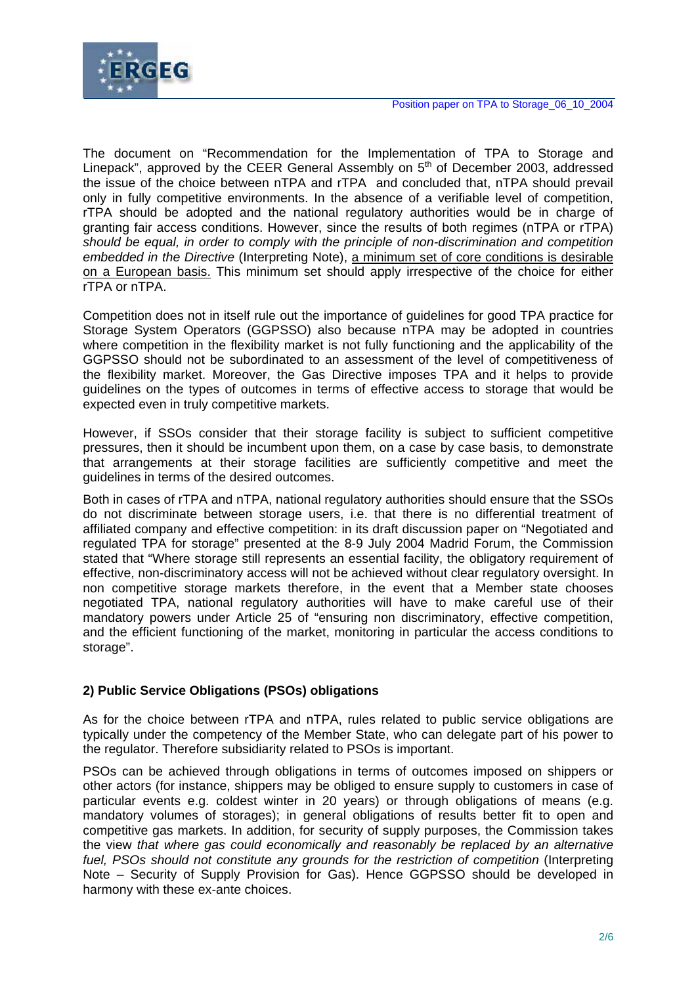

The document on "Recommendation for the Implementation of TPA to Storage and Linepack", approved by the CEER General Assembly on  $5<sup>th</sup>$  of December 2003, addressed the issue of the choice between nTPA and rTPA and concluded that, nTPA should prevail only in fully competitive environments. In the absence of a verifiable level of competition, rTPA should be adopted and the national regulatory authorities would be in charge of granting fair access conditions. However, since the results of both regimes (nTPA or rTPA) *should be equal, in order to comply with the principle of non-discrimination and competition embedded in the Directive* (Interpreting Note), a minimum set of core conditions is desirable on a European basis. This minimum set should apply irrespective of the choice for either rTPA or nTPA.

Competition does not in itself rule out the importance of guidelines for good TPA practice for Storage System Operators (GGPSSO) also because nTPA may be adopted in countries where competition in the flexibility market is not fully functioning and the applicability of the GGPSSO should not be subordinated to an assessment of the level of competitiveness of the flexibility market. Moreover, the Gas Directive imposes TPA and it helps to provide guidelines on the types of outcomes in terms of effective access to storage that would be expected even in truly competitive markets.

However, if SSOs consider that their storage facility is subject to sufficient competitive pressures, then it should be incumbent upon them, on a case by case basis, to demonstrate that arrangements at their storage facilities are sufficiently competitive and meet the guidelines in terms of the desired outcomes.

Both in cases of rTPA and nTPA, national regulatory authorities should ensure that the SSOs do not discriminate between storage users, i.e. that there is no differential treatment of affiliated company and effective competition: in its draft discussion paper on "Negotiated and regulated TPA for storage" presented at the 8-9 July 2004 Madrid Forum, the Commission stated that "Where storage still represents an essential facility, the obligatory requirement of effective, non-discriminatory access will not be achieved without clear regulatory oversight. In non competitive storage markets therefore, in the event that a Member state chooses negotiated TPA, national regulatory authorities will have to make careful use of their mandatory powers under Article 25 of "ensuring non discriminatory, effective competition, and the efficient functioning of the market, monitoring in particular the access conditions to storage".

# **2) Public Service Obligations (PSOs) obligations**

As for the choice between rTPA and nTPA, rules related to public service obligations are typically under the competency of the Member State, who can delegate part of his power to the regulator. Therefore subsidiarity related to PSOs is important.

PSOs can be achieved through obligations in terms of outcomes imposed on shippers or other actors (for instance, shippers may be obliged to ensure supply to customers in case of particular events e.g. coldest winter in 20 years) or through obligations of means (e.g. mandatory volumes of storages); in general obligations of results better fit to open and competitive gas markets. In addition, for security of supply purposes, the Commission takes the view *that where gas could economically and reasonably be replaced by an alternative fuel, PSOs should not constitute any grounds for the restriction of competition* (Interpreting Note – Security of Supply Provision for Gas). Hence GGPSSO should be developed in harmony with these ex-ante choices.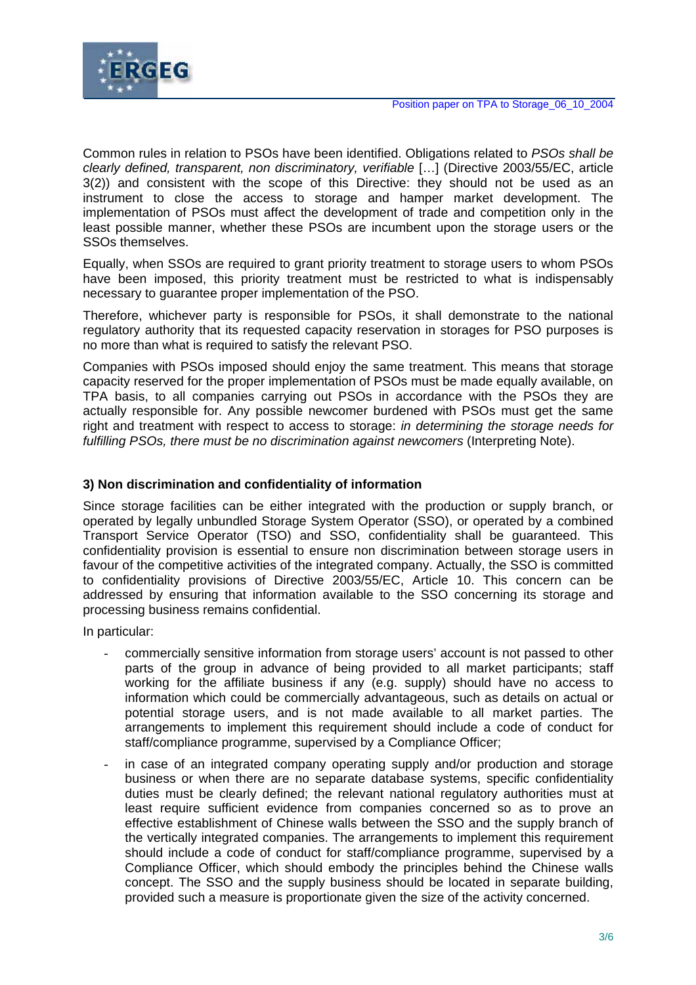

Common rules in relation to PSOs have been identified. Obligations related to *PSOs shall be clearly defined, transparent, non discriminatory, verifiable* […] (Directive 2003/55/EC, article 3(2)) and consistent with the scope of this Directive: they should not be used as an instrument to close the access to storage and hamper market development. The implementation of PSOs must affect the development of trade and competition only in the least possible manner, whether these PSOs are incumbent upon the storage users or the SSOs themselves.

Equally, when SSOs are required to grant priority treatment to storage users to whom PSOs have been imposed, this priority treatment must be restricted to what is indispensably necessary to guarantee proper implementation of the PSO.

Therefore, whichever party is responsible for PSOs, it shall demonstrate to the national regulatory authority that its requested capacity reservation in storages for PSO purposes is no more than what is required to satisfy the relevant PSO.

Companies with PSOs imposed should enjoy the same treatment. This means that storage capacity reserved for the proper implementation of PSOs must be made equally available, on TPA basis, to all companies carrying out PSOs in accordance with the PSOs they are actually responsible for. Any possible newcomer burdened with PSOs must get the same right and treatment with respect to access to storage: *in determining the storage needs for fulfilling PSOs, there must be no discrimination against newcomers* (Interpreting Note).

## **3) Non discrimination and confidentiality of information**

Since storage facilities can be either integrated with the production or supply branch, or operated by legally unbundled Storage System Operator (SSO), or operated by a combined Transport Service Operator (TSO) and SSO, confidentiality shall be guaranteed. This confidentiality provision is essential to ensure non discrimination between storage users in favour of the competitive activities of the integrated company. Actually, the SSO is committed to confidentiality provisions of Directive 2003/55/EC, Article 10. This concern can be addressed by ensuring that information available to the SSO concerning its storage and processing business remains confidential.

In particular:

- commercially sensitive information from storage users' account is not passed to other parts of the group in advance of being provided to all market participants; staff working for the affiliate business if any (e.g. supply) should have no access to information which could be commercially advantageous, such as details on actual or potential storage users, and is not made available to all market parties. The arrangements to implement this requirement should include a code of conduct for staff/compliance programme, supervised by a Compliance Officer;
- in case of an integrated company operating supply and/or production and storage business or when there are no separate database systems, specific confidentiality duties must be clearly defined; the relevant national regulatory authorities must at least require sufficient evidence from companies concerned so as to prove an effective establishment of Chinese walls between the SSO and the supply branch of the vertically integrated companies. The arrangements to implement this requirement should include a code of conduct for staff/compliance programme, supervised by a Compliance Officer, which should embody the principles behind the Chinese walls concept. The SSO and the supply business should be located in separate building, provided such a measure is proportionate given the size of the activity concerned.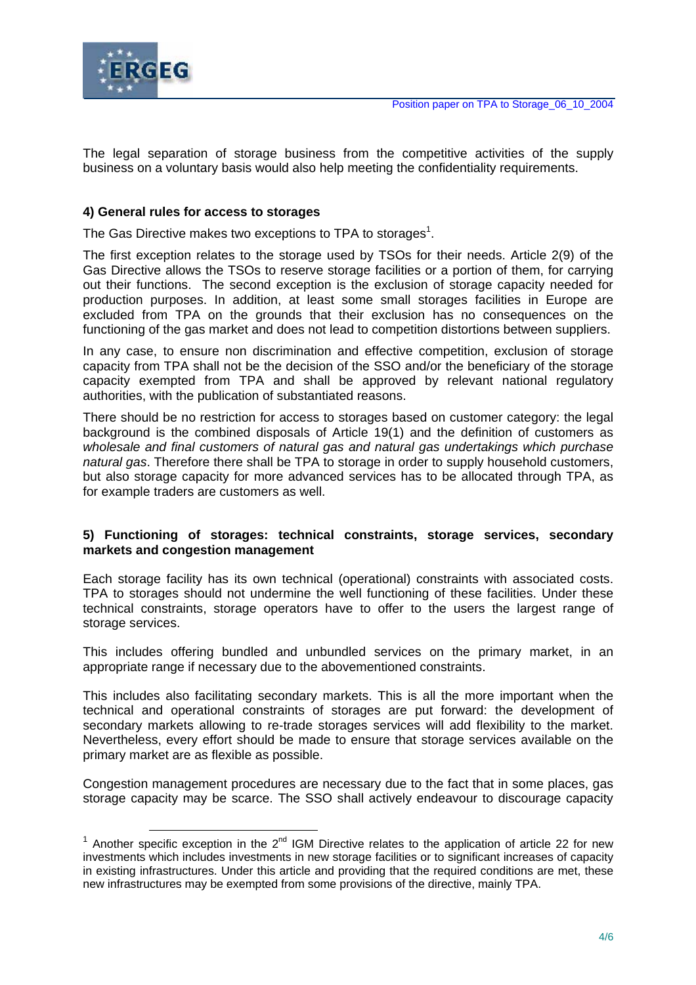

The legal separation of storage business from the competitive activities of the supply business on a voluntary basis would also help meeting the confidentiality requirements.

## **4) General rules for access to storages**

The Gas Directive makes two exceptions to TPA to storages<sup>[1](#page-3-0)</sup>.

The first exception relates to the storage used by TSOs for their needs. Article 2(9) of the Gas Directive allows the TSOs to reserve storage facilities or a portion of them, for carrying out their functions. The second exception is the exclusion of storage capacity needed for production purposes. In addition, at least some small storages facilities in Europe are excluded from TPA on the grounds that their exclusion has no consequences on the functioning of the gas market and does not lead to competition distortions between suppliers.

In any case, to ensure non discrimination and effective competition, exclusion of storage capacity from TPA shall not be the decision of the SSO and/or the beneficiary of the storage capacity exempted from TPA and shall be approved by relevant national regulatory authorities, with the publication of substantiated reasons.

There should be no restriction for access to storages based on customer category: the legal background is the combined disposals of Article 19(1) and the definition of customers as *wholesale and final customers of natural gas and natural gas undertakings which purchase natural gas*. Therefore there shall be TPA to storage in order to supply household customers, but also storage capacity for more advanced services has to be allocated through TPA, as for example traders are customers as well.

#### **5) Functioning of storages: technical constraints, storage services, secondary markets and congestion management**

Each storage facility has its own technical (operational) constraints with associated costs. TPA to storages should not undermine the well functioning of these facilities. Under these technical constraints, storage operators have to offer to the users the largest range of storage services.

This includes offering bundled and unbundled services on the primary market, in an appropriate range if necessary due to the abovementioned constraints.

This includes also facilitating secondary markets. This is all the more important when the technical and operational constraints of storages are put forward: the development of secondary markets allowing to re-trade storages services will add flexibility to the market. Nevertheless, every effort should be made to ensure that storage services available on the primary market are as flexible as possible.

Congestion management procedures are necessary due to the fact that in some places, gas storage capacity may be scarce. The SSO shall actively endeavour to discourage capacity

<span id="page-3-0"></span><sup>&</sup>lt;sup>1</sup> Another specific exception in the 2<sup>nd</sup> IGM Directive relates to the application of article 22 for new investments which includes investments in new storage facilities or to significant increases of capacity in existing infrastructures. Under this article and providing that the required conditions are met, these new infrastructures may be exempted from some provisions of the directive, mainly TPA.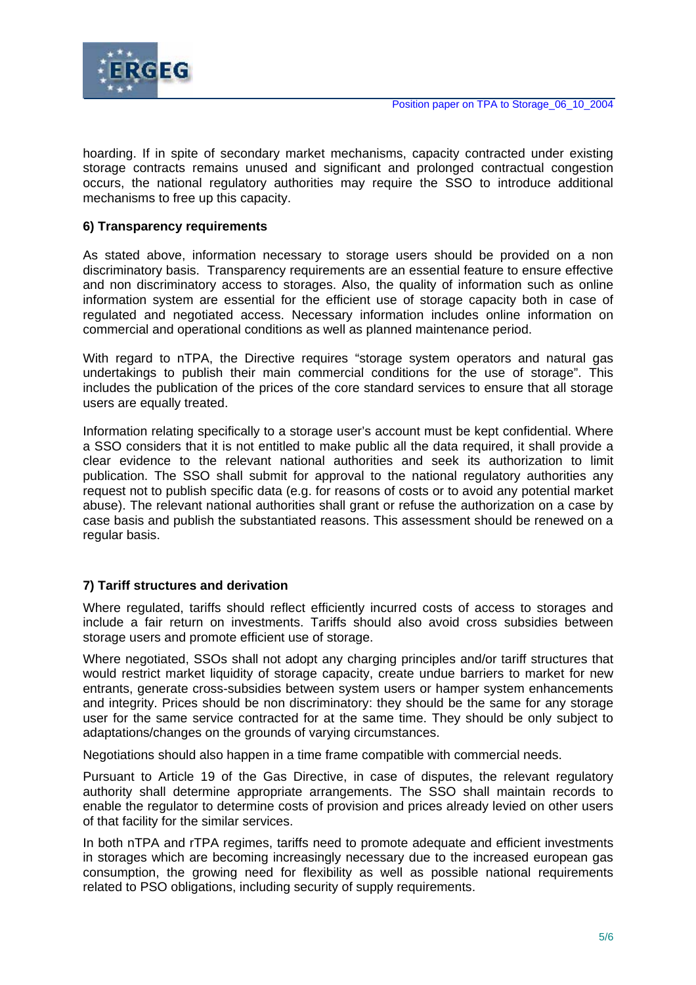

hoarding. If in spite of secondary market mechanisms, capacity contracted under existing storage contracts remains unused and significant and prolonged contractual congestion occurs, the national regulatory authorities may require the SSO to introduce additional mechanisms to free up this capacity.

#### **6) Transparency requirements**

As stated above, information necessary to storage users should be provided on a non discriminatory basis. Transparency requirements are an essential feature to ensure effective and non discriminatory access to storages. Also, the quality of information such as online information system are essential for the efficient use of storage capacity both in case of regulated and negotiated access. Necessary information includes online information on commercial and operational conditions as well as planned maintenance period.

With regard to nTPA, the Directive requires "storage system operators and natural gas undertakings to publish their main commercial conditions for the use of storage". This includes the publication of the prices of the core standard services to ensure that all storage users are equally treated.

Information relating specifically to a storage user's account must be kept confidential. Where a SSO considers that it is not entitled to make public all the data required, it shall provide a clear evidence to the relevant national authorities and seek its authorization to limit publication. The SSO shall submit for approval to the national regulatory authorities any request not to publish specific data (e.g. for reasons of costs or to avoid any potential market abuse). The relevant national authorities shall grant or refuse the authorization on a case by case basis and publish the substantiated reasons. This assessment should be renewed on a regular basis.

#### **7) Tariff structures and derivation**

Where regulated, tariffs should reflect efficiently incurred costs of access to storages and include a fair return on investments. Tariffs should also avoid cross subsidies between storage users and promote efficient use of storage.

Where negotiated, SSOs shall not adopt any charging principles and/or tariff structures that would restrict market liquidity of storage capacity, create undue barriers to market for new entrants, generate cross-subsidies between system users or hamper system enhancements and integrity. Prices should be non discriminatory: they should be the same for any storage user for the same service contracted for at the same time. They should be only subject to adaptations/changes on the grounds of varying circumstances.

Negotiations should also happen in a time frame compatible with commercial needs.

Pursuant to Article 19 of the Gas Directive, in case of disputes, the relevant regulatory authority shall determine appropriate arrangements. The SSO shall maintain records to enable the regulator to determine costs of provision and prices already levied on other users of that facility for the similar services.

In both nTPA and rTPA regimes, tariffs need to promote adequate and efficient investments in storages which are becoming increasingly necessary due to the increased european gas consumption, the growing need for flexibility as well as possible national requirements related to PSO obligations, including security of supply requirements.